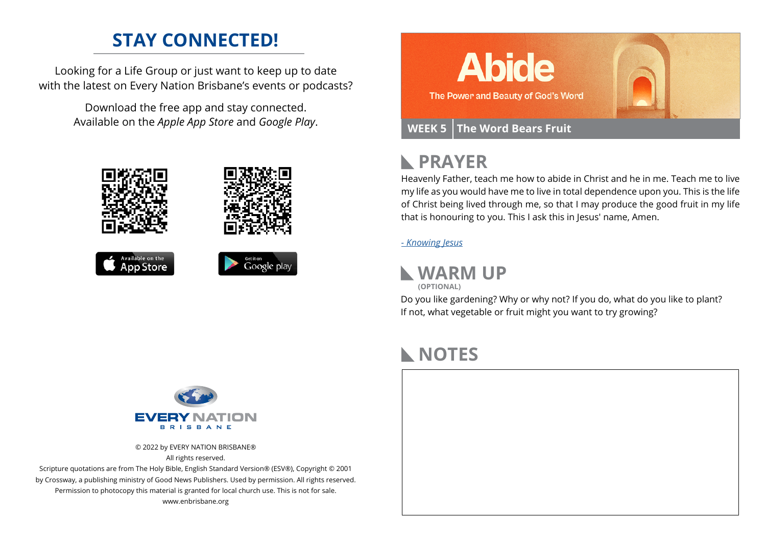### **STAY CONNECTED!**

Looking for a Life Group or just want to keep up to date with the latest on Every Nation Brisbane's events or podcasts?

> Download the free app and stay connected. Available on the *Apple App Store* and *Google Play*.





## **PRAYER**

Heavenly Father, teach me how to abide in Christ and he in me. Teach me to live my life as you would have me to live in total dependence upon you. This is the life of Christ being lived through me, so that I may produce the good fruit in my life that is honouring to you. This I ask this in Jesus' name, Amen.

#### *[- Knowing Jesus](https://prayer.knowing-jesus.com/John/15)*



Do you like gardening? Why or why not? If you do, what do you like to plant? If not, what vegetable or fruit might you want to try growing?

## **NOTES**





© 2022 by EVERY NATION BRISBANE®

All rights reserved.

Scripture quotations are from The Holy Bible, English Standard Version® (ESV®), Copyright © 2001 by Crossway, a publishing ministry of Good News Publishers. Used by permission. All rights reserved. Permission to photocopy this material is granted for local church use. This is not for sale. www.enbrisbane.org